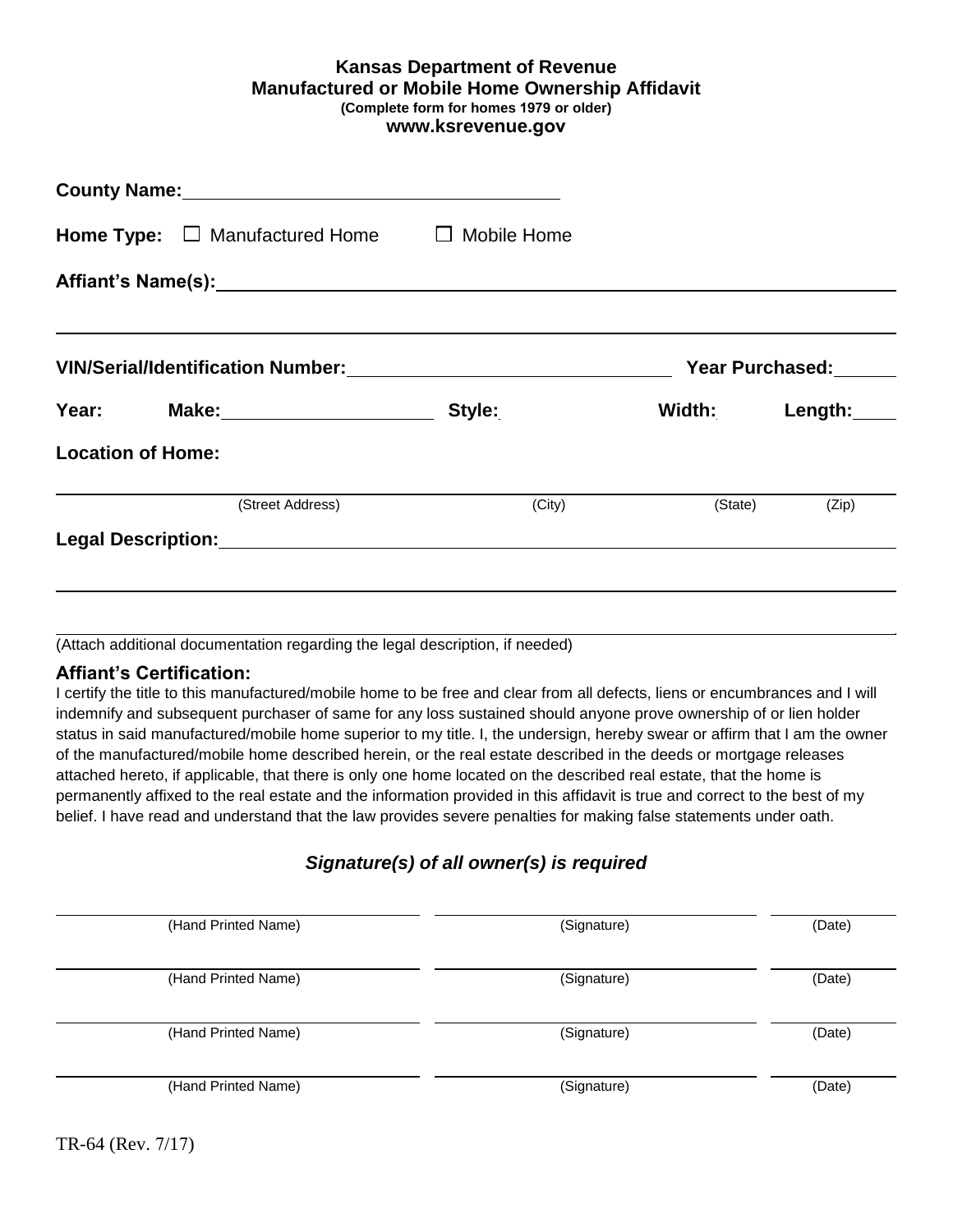#### **Kansas Department of Revenue Manufactured or Mobile Home Ownership Affidavit (Complete form for homes 1979 or older) www.ksrevenue.gov**

| County Name: Manual Account of the County Name:               |                     |                |                        |
|---------------------------------------------------------------|---------------------|----------------|------------------------|
| <b>Home Type:</b> $\Box$ Manufactured Home $\Box$ Mobile Home |                     |                |                        |
|                                                               |                     |                |                        |
|                                                               |                     |                | <b>Year Purchased:</b> |
| Year: Make: Make:                                             | Style: ____________ | Width: Length: |                        |
| <b>Location of Home:</b>                                      |                     |                |                        |
| (Street Address)                                              | (City)              |                | (State) (Zip)          |
|                                                               |                     |                |                        |
|                                                               |                     |                |                        |
|                                                               |                     |                |                        |

(Attach additional documentation regarding the legal description, if needed)

#### **Affiant's Certification:**

 I certify the title to this manufactured/mobile home to be free and clear from all defects, liens or encumbrances and I will status in said manufactured/mobile home superior to my title. I, the undersign, hereby swear or affirm that I am the owner attached hereto, if applicable, that there is only one home located on the described real estate, that the home is permanently affixed to the real estate and the information provided in this affidavit is true and correct to the best of my indemnify and subsequent purchaser of same for any loss sustained should anyone prove ownership of or lien holder of the manufactured/mobile home described herein, or the real estate described in the deeds or mortgage releases belief. I have read and understand that the law provides severe penalties for making false statements under oath.

## *Signature(s) of all owner(s) is required*

| (Hand Printed Name) | (Signature) | (Date) |
|---------------------|-------------|--------|
| (Hand Printed Name) | (Signature) | (Date) |
| (Hand Printed Name) | (Signature) | (Date) |
| (Hand Printed Name) | (Signature) | (Date) |